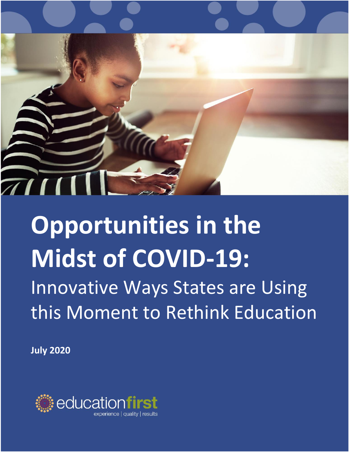

# **Opportunities in the Midst of COVID-19:**  Innovative Ways States are Using this Moment to Rethink Education

**July 2020**

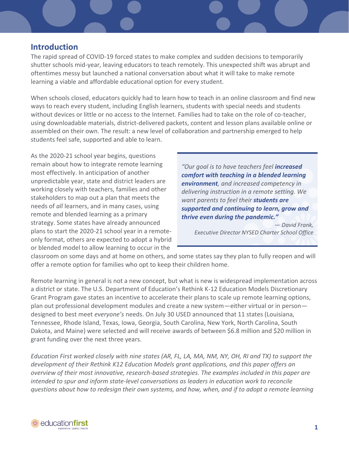# **Introduction**

The rapid spread of COVID-19 forced states to make complex and sudden decisions to temporarily shutter schools mid-year, leaving educators to teach remotely. This unexpected shift was abrupt and oftentimes messy but launched a national conversation about what it will take to make remote learning a viable and affordable educational option for every student.

When schools closed, educators quickly had to learn how to teach in an online classroom and find new ways to reach every student, including English learners, students with special needs and students without devices or little or no access to the Internet. Families had to take on the role of co-teacher, using downloadable materials, district-delivered packets, content and lesson plans available online or assembled on their own. The result: a new level of collaboration and partnership emerged to help students feel safe, supported and able to learn.

As the 2020-21 school year begins, questions remain about how to integrate remote learning most effectively. In anticipation of another unpredictable year, state and district leaders are working closely with teachers, families and other stakeholders to map out a plan that meets the needs of *all* learners, and in many cases, using remote and blended learning as a primary strategy. Some states have already announced plans to start the 2020-21 school year in a remoteonly format, others are expected to adopt a hybrid or blended model to allow learning to occur in the

*"Our goal is to have teachers feel increased comfort with teaching in a blended learning environment, and increased competency in delivering instruction in a remote setting. We want parents to feel their students are supported and continuing to learn, grow and thrive even during the pandemic."*

*— David Frank, Executive Director NYSED Charter School Office*

classroom on some days and at home on others, and some states say they plan to fully reopen and will offer a remote option for families who opt to keep their children home.

Remote learning in general is not a new concept, but what is new is widespread implementation across a district or state. The U.S. Department of Education's Rethink K-12 Education Models Discretionary Grant Program gave states an incentive to accelerate their plans to scale up remote learning options, plan out professional development modules and create a new system—either virtual or in person designed to best meet *everyone's* needs. On July 30 USED announced that 11 states (Louisiana, Tennessee, Rhode Island, Texas, Iowa, Georgia, South Carolina, New York, North Carolina, South Dakota, and Maine) were selected and will receive awards of between \$6.8 million and \$20 million in grant funding over the next three years.

*Education First worked closely with nine states (AR, FL, LA, MA, NM, NY, OH, RI and TX) to support the development of their Rethink K12 Education Models grant applications, and this paper offers an overview of their most innovative, research-based strategies. The examples included in this paper are intended to spur and inform state-level conversations as leaders in education work to reconcile questions about how to redesign their own systems, and how, when, and if to adopt a remote learning* 

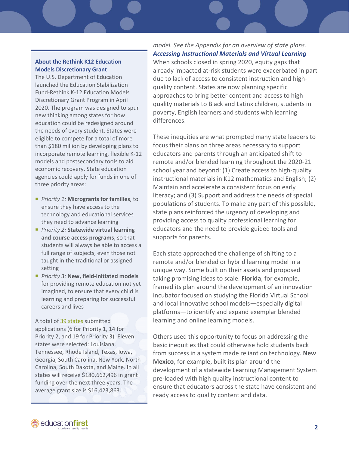#### **About the Rethink K12 Education Models Discretionary Grant**

The U.S. Department of Education launched the Education Stabilization Fund-Rethink K-12 Education Models Discretionary Grant Program in April 2020. The program was designed to spur new thinking among states for how education could be redesigned around the needs of every student. States were eligible to compete for a total of more than \$180 million by developing plans to incorporate remote learning, flexible K-12 models and postsecondary tools to aid economic recovery. State education agencies could apply for funds in one of three priority areas:

- *Priority 1:* **Microgrants for families**, to ensure they have access to the technology and educational services they need to advance learning
- *Priority 2:* Statewide virtual learning **and course access programs**, so that students will always be able to access a full range of subjects, even those not taught in the traditional or assigned setting
- *Priority 3:* **New, field-initiated models** for providing remote education not yet imagined, to ensure that every child is learning and preparing for successful careers and lives

A total o[f 39 states](https://oese.ed.gov/files/2020/07/ESF-REM-Applicants-by-Absolute-Priority-7.6.20.pdf) submitted applications (6 for Priority 1, 14 for Priority 2, and 19 for Priority 3). Eleven states were selected: Louisiana, Tennessee, Rhode Island, Texas, Iowa, Georgia, South Carolina, New York, North Carolina, South Dakota, and Maine. In all states will receive \$180,662,496 in grant funding over the next three years. The average grant size is \$16,423,863.

*model. See the Appendix for an overview of state plans. Accessing Instructional Materials and Virtual Learning* When schools closed in spring 2020, equity gaps that already impacted at-risk students were exacerbated in part due to lack of access to consistent instruction and highquality content. States are now planning specific approaches to bring better content and access to high quality materials to Black and Latinx children, students in poverty, English learners and students with learning differences.

These inequities are what prompted many state leaders to focus their plans on three areas necessary to support educators and parents through an anticipated shift to remote and/or blended learning throughout the 2020-21 school year and beyond: (1) Create access to high-quality instructional materials in K12 mathematics and English; (2) Maintain and accelerate a consistent focus on early literacy; and (3) Support and address the needs of special populations of students. To make any part of this possible, state plans reinforced the urgency of developing and providing access to quality professional learning for educators and the need to provide guided tools and supports for parents.

Each state approached the challenge of shifting to a remote and/or blended or hybrid learning model in a unique way. Some built on their assets and proposed taking promising ideas to scale. **Florida**, for example, framed its plan around the development of an innovation incubator focused on studying the Florida Virtual School and local innovative school models—especially digital platforms—to identify and expand exemplar blended learning and online learning models.

Others used this opportunity to focus on addressing the basic inequities that could otherwise hold students back from success in a system made reliant on technology. **New Mexico**, for example, built its plan around the development of a statewide Learning Management System pre-loaded with high quality instructional content to ensure that educators across the state have consistent and ready access to quality content and data.

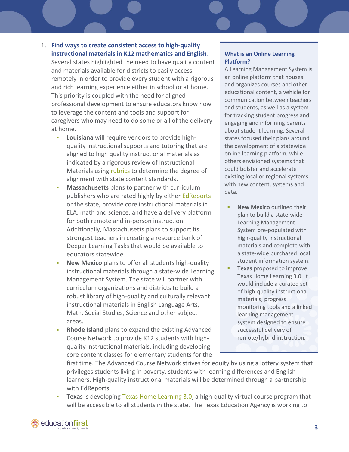- 1. **Find ways to create consistent access to high-quality instructional materials in K12 mathematics and English**. Several states highlighted the need to have quality content and materials available for districts to easily access remotely in order to provide every student with a rigorous and rich learning experience either in school or at home. This priority is coupled with the need for aligned professional development to ensure educators know how to leverage the content and tools and support for caregivers who may need to do some or all of the delivery at home.
	- **Louisiana** will require vendors to provide highquality instructional supports and tutoring that are aligned to high quality instructional materials as indicated by a rigorous review of Instructional Materials using [rubrics](https://www.louisianabelieves.com/resources/library/curricular-resources) to determine the degree of alignment with state content standards.
	- **Massachusetts** plans to partner with curriculum publishers who are rated highly by either [EdReports](https://www.edreports.org/) or the state, provide core instructional materials in ELA, math and science, and have a delivery platform for both remote and in-person instruction. Additionally, Massachusetts plans to support its strongest teachers in creating a resource bank of Deeper Learning Tasks that would be available to educators statewide.
	- **New Mexico** plans to offer all students high-quality instructional materials through a state-wide Learning Management System. The state will partner with curriculum organizations and districts to build a robust library of high-quality and culturally relevant instructional materials in English Language Arts, Math, Social Studies, Science and other subject areas.
	- **Rhode Island** plans to expand the existing Advanced Course Network to provide K12 students with highquality instructional materials, including developing core content classes for elementary students for the

#### **What is an Online Learning Platform?**

A Learning Management System is an online platform that houses and organizes courses and other educational content, a vehicle for communication between teachers and students, as well as a system for tracking student progress and engaging and informing parents about student learning. Several states focused their plans around the development of a statewide online learning platform, while others envisioned systems that could bolster and accelerate existing local or regional systems with new content, systems and data.

- **New Mexico** outlined their plan to build a state-wide Learning Management System pre-populated with high-quality instructional materials and complete with a state-wide purchased local student information system.
- **Texas** proposed to improve Texas Home Learning 3.0. It would include a curated set of high-quality instructional materials, progress monitoring tools and a linked learning management system designed to ensure successful delivery of remote/hybrid instruction.

first time. The Advanced Course Network strives for equity by using a lottery system that privileges students living in poverty, students with learning differences and English learners. High-quality instructional materials will be determined through a partnership with EdReports.

**Texas** is developing Texas Home Learning 3.0, a high-quality virtual course program that will be accessible to all students in the state. The Texas Education Agency is working to

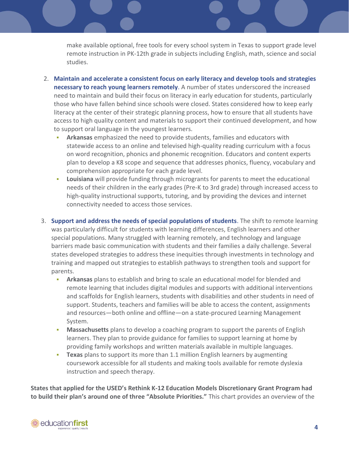make available optional, free tools for every school system in Texas to support grade level remote instruction in PK-12th grade in subjects including English, math, science and social studies.

- 2. **Maintain and accelerate a consistent focus on early literacy and develop tools and strategies necessary to reach young learners remotely**. A number of states underscored the increased need to maintain and build their focus on literacy in early education for students, particularly those who have fallen behind since schools were closed. States considered how to keep early literacy at the center of their strategic planning process, how to ensure that all students have access to high quality content and materials to support their continued development, and how to support oral language in the youngest learners.
	- Arkansas emphasized the need to provide students, families and educators with statewide access to an online and televised high-quality reading curriculum with a focus on word recognition, phonics and phonemic recognition. Educators and content experts plan to develop a K8 scope and sequence that addresses phonics, fluency, vocabulary and comprehension appropriate for each grade level.
	- **Louisiana** will provide funding through microgrants for parents to meet the educational needs of their children in the early grades (Pre-K to 3rd grade) through increased access to high-quality instructional supports, tutoring, and by providing the devices and internet connectivity needed to access those services.
- 3. **Support and address the needs of special populations of students**. The shift to remote learning was particularly difficult for students with learning differences, English learners and other special populations. Many struggled with learning remotely, and technology and language barriers made basic communication with students and their families a daily challenge. Several states developed strategies to address these inequities through investments in technology and training and mapped out strategies to establish pathways to strengthen tools and support for parents.
	- **EXT** Arkansas plans to establish and bring to scale an educational model for blended and remote learning that includes digital modules and supports with additional interventions and scaffolds for English learners, students with disabilities and other students in need of support. Students, teachers and families will be able to access the content, assignments and resources—both online and offline—on a state-procured Learning Management System.
	- **Massachusetts** plans to develop a coaching program to support the parents of English learners. They plan to provide guidance for families to support learning at home by providing family workshops and written materials available in multiple languages.
	- **Texas** plans to support its more than 1.1 million English learners by augmenting coursework accessible for all students and making tools available for remote dyslexia instruction and speech therapy.

**States that applied for the USED's Rethink K-12 Education Models Discretionary Grant Program had to build their plan's around one of three "Absolute Priorities."** This chart provides an overview of the

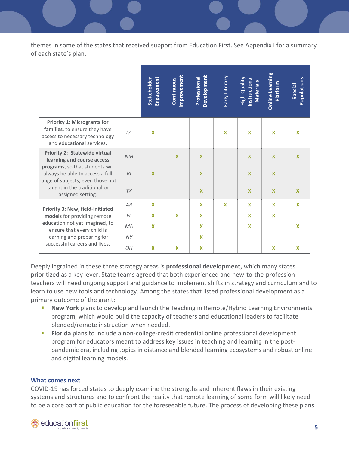themes in some of the states that received support from Education First. See Appendix I for a summary of each state's plan.

|                                                                                                                                                                                                                                    |           | Engagement<br>Stakeholder | Improvement<br>Continuous | Development<br>Professional | Early Literacy | Instructional<br><b>High Quality</b><br><b>Materials</b> | <b>Online Learning</b><br>Platform | Populations<br><b>Special</b> |
|------------------------------------------------------------------------------------------------------------------------------------------------------------------------------------------------------------------------------------|-----------|---------------------------|---------------------------|-----------------------------|----------------|----------------------------------------------------------|------------------------------------|-------------------------------|
| <b>Priority 1: Microgrants for</b><br>families, to ensure they have<br>access to necessary technology<br>and educational services.                                                                                                 | LA        | $\boldsymbol{\mathsf{x}}$ |                           |                             | X              | X                                                        | X                                  | X                             |
| <b>Priority 2: Statewide virtual</b><br>learning and course access<br>programs, so that students will<br>always be able to access a full<br>range of subjects, even those not<br>taught in the traditional or<br>assigned setting. | <b>NM</b> |                           | $\boldsymbol{\mathsf{x}}$ | $\boldsymbol{\mathsf{X}}$   |                | $\mathbf x$                                              | $\mathbf{x}$                       | $\mathbf x$                   |
|                                                                                                                                                                                                                                    | RI        | $\mathbf x$               |                           | $\boldsymbol{\mathsf{x}}$   |                | $\boldsymbol{\mathsf{X}}$                                | $\mathbf{x}$                       |                               |
|                                                                                                                                                                                                                                    | <b>TX</b> |                           |                           | $\mathbf{x}$                |                | $\mathbf x$                                              | $\mathbf{x}$                       | $\mathbf x$                   |
| <b>Priority 3: New, field-initiated</b><br>models for providing remote<br>education not yet imagined, to<br>ensure that every child is<br>learning and preparing for<br>successful careers and lives.                              | AR        | $\boldsymbol{\mathsf{x}}$ |                           | $\boldsymbol{\mathsf{x}}$   | $\mathbf x$    | X                                                        | $\boldsymbol{\mathsf{X}}$          | X                             |
|                                                                                                                                                                                                                                    | FL        | $\mathbf x$               | X                         | X                           |                | X                                                        | X                                  |                               |
|                                                                                                                                                                                                                                    | <b>MA</b> | $\boldsymbol{\mathsf{x}}$ |                           | $\mathbf x$                 |                | $\boldsymbol{\mathsf{x}}$                                |                                    | X                             |
|                                                                                                                                                                                                                                    | <b>NY</b> |                           |                           | $\mathbf x$                 |                |                                                          |                                    |                               |
|                                                                                                                                                                                                                                    | 0H        | $\mathbf x$               | X                         | $\boldsymbol{\mathsf{x}}$   |                |                                                          | X                                  | X                             |

Deeply ingrained in these three strategy areas is **professional development,** which many states prioritized as a key lever. State teams agreed that both experienced and new-to-the-profession teachers will need ongoing support and guidance to implement shifts in strategy and curriculum and to learn to use new tools and technology. Among the states that listed professional development as a primary outcome of the grant:

- **New York** plans to develop and launch the Teaching in Remote/Hybrid Learning Environments program, which would build the capacity of teachers and educational leaders to facilitate blended/remote instruction when needed.
- **Florida** plans to include a non-college-credit credential online professional development program for educators meant to address key issues in teaching and learning in the postpandemic era, including topics in distance and blended learning ecosystems and robust online and digital learning models.

#### **What comes next**

COVID-19 has forced states to deeply examine the strengths and inherent flaws in their existing systems and structures and to confront the reality that remote learning of some form will likely need to be a core part of public education for the foreseeable future. The process of developing these plans

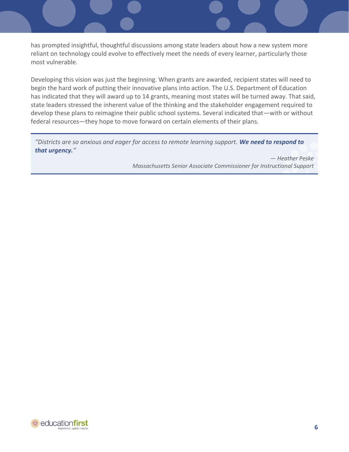has prompted insightful, thoughtful discussions among state leaders about how a new system more reliant on technology could evolve to effectively meet the needs of every learner, particularly those most vulnerable.

Developing this vision was just the beginning. When grants are awarded, recipient states will need to begin the hard work of putting their innovative plans into action. The U.S. Department of Education has indicated that they will award up to 14 grants, meaning most states will be turned away. That said, state leaders stressed the inherent value of the thinking and the stakeholder engagement required to develop these plans to reimagine their public school systems. Several indicated that—with or without federal resources—they hope to move forward on certain elements of their plans.

*"Districts are so anxious and eager for access to remote learning support. We need to respond to that urgency."*

> *— Heather Peske Massachusetts Senior Associate Commissioner for Instructional Support*

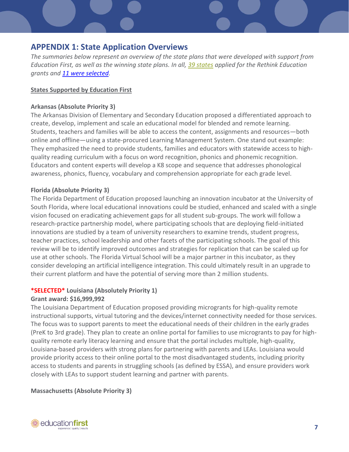# **APPENDIX 1: State Application Overviews**

*The summaries below represent an overview of the state plans that were developed with support from Education First, as well as the winning state plans. In all, [39 states](https://oese.ed.gov/files/2020/07/ESF-REM-Applicants-by-Absolute-Priority-7.6.20.pdf) applied for the Rethink Education grants and [11 were selected.](https://oese.ed.gov/files/2020/07/ESF-REM-Award-Fact-Sheet-7.29.20_FINAL.pdf)*

#### **States Supported by Education First**

#### **Arkansas (Absolute Priority 3)**

The Arkansas Division of Elementary and Secondary Education proposed a differentiated approach to create, develop, implement and scale an educational model for blended and remote learning. Students, teachers and families will be able to access the content, assignments and resources—both online and offline—using a state-procured Learning Management System. One stand out example: They emphasized the need to provide students, families and educators with statewide access to highquality reading curriculum with a focus on word recognition, phonics and phonemic recognition. Educators and content experts will develop a K8 scope and sequence that addresses phonological awareness, phonics, fluency, vocabulary and comprehension appropriate for each grade level.

#### **Florida (Absolute Priority 3)**

The Florida Department of Education proposed launching an innovation incubator at the University of South Florida, where local educational innovations could be studied, enhanced and scaled with a single vision focused on eradicating achievement gaps for all student sub-groups. The work will follow a research-practice partnership model, where participating schools that are deploying field-initiated innovations are studied by a team of university researchers to examine trends, student progress, teacher practices, school leadership and other facets of the participating schools. The goal of this review will be to identify improved outcomes and strategies for replication that can be scaled up for use at other schools. The Florida Virtual School will be a major partner in this incubator, as they consider developing an artificial intelligence integration. This could ultimately result in an upgrade to their current platform and have the potential of serving more than 2 million students.

#### **\*SELECTED\* Louisiana (Absolutely Priority 1)**

#### **Grant award: \$16,999,992**

The Louisiana Department of Education proposed providing microgrants for high-quality remote instructional supports, virtual tutoring and the devices/internet connectivity needed for those services. The focus was to support parents to meet the educational needs of their children in the early grades (PreK to 3rd grade). They plan to create an online portal for families to use microgrants to pay for highquality remote early literacy learning and ensure that the portal includes multiple, high-quality, Louisiana-based providers with strong plans for partnering with parents and LEAs. Louisiana would provide priority access to their online portal to the most disadvantaged students, including priority access to students and parents in struggling schools (as defined by ESSA), and ensure providers work closely with LEAs to support student learning and partner with parents.

#### **Massachusetts (Absolute Priority 3)**

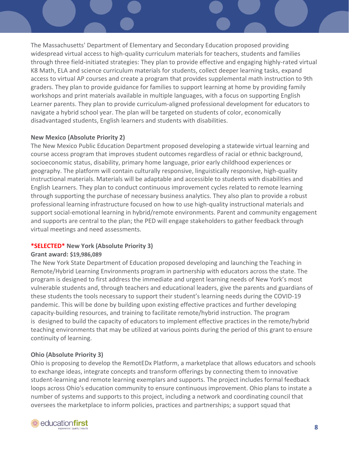The Massachusetts' Department of Elementary and Secondary Education proposed providing widespread virtual access to high-quality curriculum materials for teachers, students and families through three field-initiated strategies: They plan to provide effective and engaging highly-rated virtual K8 Math, ELA and science curriculum materials for students, collect deeper learning tasks, expand access to virtual AP courses and create a program that provides supplemental math instruction to 9th graders. They plan to provide guidance for families to support learning at home by providing family workshops and print materials available in multiple languages, with a focus on supporting English Learner parents. They plan to provide curriculum-aligned professional development for educators to navigate a hybrid school year. The plan will be targeted on students of color, economically disadvantaged students, English learners and students with disabilities.

## **New Mexico (Absolute Priority 2)**

The New Mexico Public Education Department proposed developing a statewide virtual learning and course access program that improves student outcomes regardless of racial or ethnic background, socioeconomic status, disability, primary home language, prior early childhood experiences or geography. The platform will contain culturally responsive, linguistically responsive, high-quality instructional materials. Materials will be adaptable and accessible to students with disabilities and English Learners. They plan to conduct continuous improvement cycles related to remote learning through supporting the purchase of necessary business analytics. They also plan to provide a robust professional learning infrastructure focused on how to use high-quality instructional materials and support social-emotional learning in hybrid/remote environments. Parent and community engagement and supports are central to the plan; the PED will engage stakeholders to gather feedback through virtual meetings and need assessments.

## **\*SELECTED\* New York (Absolute Priority 3)**

#### **Grant award: \$19,986,089**

The New York State Department of Education proposed developing and launching the Teaching in Remote/Hybrid Learning Environments program in partnership with educators across the state. The program is designed to first address the immediate and urgent learning needs of New York's most vulnerable students and, through teachers and educational leaders, give the parents and guardians of these students the tools necessary to support their student's learning needs during the COVID-19 pandemic. This will be done by building upon existing effective practices and further developing capacity-building resources, and training to facilitate remote/hybrid instruction. The program is designed to build the capacity of educators to implement effective practices in the remote/hybrid teaching environments that may be utilized at various points during the period of this grant to ensure continuity of learning.

## **Ohio (Absolute Priority 3)**

Ohio is proposing to develop the RemotEDx Platform, a marketplace that allows educators and schools to exchange ideas, integrate concepts and transform offerings by connecting them to innovative student-learning and remote learning exemplars and supports. The project includes formal feedback loops across Ohio's education community to ensure continuous improvement. Ohio plans to instate a number of systems and supports to this project, including a network and coordinating council that oversees the marketplace to inform policies, practices and partnerships; a support squad that

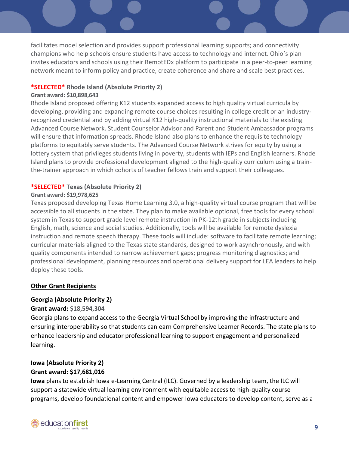facilitates model selection and provides support professional learning supports; and connectivity champions who help schools ensure students have access to technology and internet. Ohio's plan invites educators and schools using their RemotEDx platform to participate in a peer-to-peer learning network meant to inform policy and practice, create coherence and share and scale best practices.

#### **\*SELECTED\* Rhode Island (Absolute Priority 2)**

#### **Grant award: \$10,898,643**

Rhode Island proposed offering K12 students expanded access to high quality virtual curricula by developing, providing and expanding remote course choices resulting in college credit or an industryrecognized credential and by adding virtual K12 high-quality instructional materials to the existing Advanced Course Network. Student Counselor Advisor and Parent and Student Ambassador programs will ensure that information spreads. Rhode Island also plans to enhance the requisite technology platforms to equitably serve students. The Advanced Course Network strives for equity by using a lottery system that privileges students living in poverty, students with IEPs and English learners. Rhode Island plans to provide professional development aligned to the high-quality curriculum using a trainthe-trainer approach in which cohorts of teacher fellows train and support their colleagues.

#### **\*SELECTED\* Texas (Absolute Priority 2)**

#### **Grant award: \$19,978,625**

Texas proposed developing Texas Home Learning 3.0, a high-quality virtual course program that will be accessible to all students in the state. They plan to make available optional, free tools for every school system in Texas to support grade level remote instruction in PK-12th grade in subjects including English, math, science and social studies. Additionally, tools will be available for remote dyslexia instruction and remote speech therapy. These tools will include: software to facilitate remote learning; curricular materials aligned to the Texas state standards, designed to work asynchronously, and with quality components intended to narrow achievement gaps; progress monitoring diagnostics; and professional development, planning resources and operational delivery support for LEA leaders to help deploy these tools.

#### **Other Grant Recipients**

#### **Georgia (Absolute Priority 2)**

#### **Grant award: \$18,594,304**

Georgia plans to expand access to the Georgia Virtual School by improving the infrastructure and ensuring interoperability so that students can earn Comprehensive Learner Records. The state plans to enhance leadership and educator professional learning to support engagement and personalized learning.

## **Iowa (Absolute Priority 2) Grant award: \$17,681,016**

**Iowa** plans to establish Iowa e-Learning Central (ILC). Governed by a leadership team, the ILC will support a statewide virtual learning environment with equitable access to high-quality course programs, develop foundational content and empower Iowa educators to develop content, serve as a

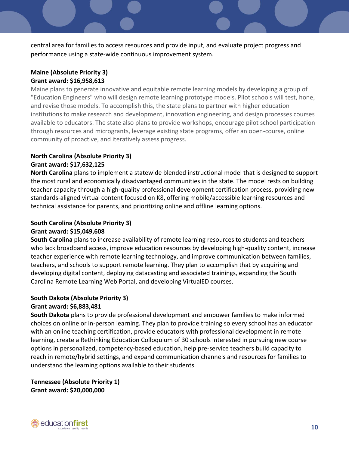central area for families to access resources and provide input, and evaluate project progress and performance using a state-wide continuous improvement system.

#### **Maine (Absolute Priority 3) Grant award: \$16,958,613**

Maine plans to generate innovative and equitable remote learning models by developing a group of "Education Engineers" who will design remote learning prototype models. Pilot schools will test, hone, and revise those models. To accomplish this, the state plans to partner with higher education institutions to make research and development, innovation engineering, and design processes courses available to educators. The state also plans to provide workshops, encourage pilot school participation through resources and microgrants, leverage existing state programs, offer an open-course, online community of proactive, and iteratively assess progress.

## **North Carolina (Absolute Priority 3) Grant award: \$17,632,125**

**North Carolina** plans to implement a statewide blended instructional model that is designed to support the most rural and economically disadvantaged communities in the state. The model rests on building teacher capacity through a high-quality professional development certification process, providing new standards-aligned virtual content focused on K8, offering mobile/accessible learning resources and technical assistance for parents, and prioritizing online and offline learning options.

## **South Carolina (Absolute Priority 3) Grant award: \$15,049,608**

**South Carolina** plans to increase availability of remote learning resources to students and teachers who lack broadband access, improve education resources by developing high-quality content, increase teacher experience with remote learning technology, and improve communication between families, teachers, and schools to support remote learning. They plan to accomplish that by acquiring and developing digital content, deploying datacasting and associated trainings, expanding the South Carolina Remote Learning Web Portal, and developing VirtualED courses.

## **South Dakota (Absolute Priority 3) Grant award: \$6,883,481**

**South Dakota** plans to provide professional development and empower families to make informed choices on online or in-person learning. They plan to provide training so every school has an educator with an online teaching certification, provide educators with professional development in remote learning, create a Rethinking Education Colloquium of 30 schools interested in pursuing new course options in personalized, competency-based education, help pre-service teachers build capacity to reach in remote/hybrid settings, and expand communication channels and resources for families to understand the learning options available to their students.

**Tennessee (Absolute Priority 1) Grant award: \$20,000,000**

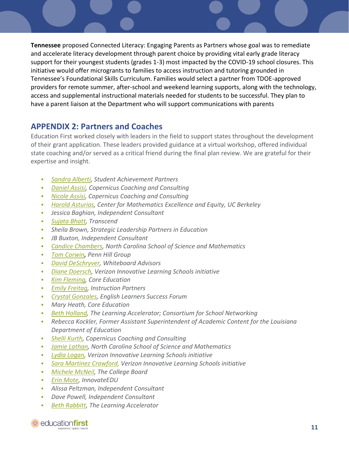**Tennessee** proposed Connected Literacy: Engaging Parents as Partners whose goal was to remediate and accelerate literacy development through parent choice by providing vital early grade literacy support for their youngest students (grades 1-3) most impacted by the COVID-19 school closures. This initiative would offer microgrants to families to access instruction and tutoring grounded in Tennessee's Foundational Skills Curriculum. Families would select a partner from TDOE-approved providers for remote summer, after-school and weekend learning supports, along with the technology, access and supplemental instructional materials needed for students to be successful. They plan to have a parent liaison at the Department who will support communications with parents

# **APPENDIX 2: Partners and Coaches**

Education First worked closely with leaders in the field to support states throughout the development of their grant application. These leaders provided guidance at a virtual workshop, offered individual state coaching and/or served as a critical friend during the final plan review. We are grateful for their expertise and insight.

- *[Sandra Alberti,](https://achievethecore.org/author/70/sandra-alberti) Student Achievement Partners*
- *[Daniel Assisi,](https://www.copernicuscoaching.com/team/) Copernicus Coaching and Consulting*
- *[Nicole Assisi,](https://www.copernicuscoaching.com/about/key-team-members/) Copernicus Coaching and Consulting*
- *[Harold Asturias,](https://www.hmhco.com/people/harold-asturias) Center for Mathematics Excellence and Equity, UC Berkeley*
- *Jessica Baghian, Independent Consultant*
- *[Sujata Bhatt,](https://www.transcendeducation.org/about-team/sujata-bhatt) Transcend*
- *Sheila Brown, Strategic Leadership Partners in Education*
- **JB Buxton, Independent Consultant**
- *[Candice Chambers,](https://www.ncssm.edu/directory/candice-chambers) North Carolina School of Science and Mathematics*
- *[Tom Corwin](https://pennhillgroup.com/about/team/tom-corwin/), Penn Hill Group*
- *[David DeSchryver,](https://www.whiteboardadvisors.com/david-deschryver) Whiteboard Advisors*
- *[Diane Doersch,](https://digitalpromise.org/our-team/diane-w-doersch/) Verizon Innovative Learning Schools initiative*
- *[Kim Fleming,](http://coreeducationllc.com/) Core Education*
- *[Emily Freitag,](https://instructionpartners.org/our-team) Instruction Partners*
- *[Crystal Gonzales,](https://www.elsuccessforum.org/people/crystal-gonzales) English Learners Success Forum*
- *Mary Heath, Core Education*
- **[Beth Holland,](https://learningaccelerator.org/people) The Learning Accelerator; Consortium for School Networking**
- *Rebecca Kockler, Former Assistant Superintendent of Academic Content for the Louisiana Department of Education*
- *[Shelli Kurth,](https://www.copernicuscoaching.com/team/) Copernicus Coaching and Consulting*
- **[Jamie Lathan,](https://www.ncssm.edu/directory/jamie-lathan) North Carolina School of Science and Mathematics**
- *[Lydia Logan,](https://digitalpromise.org/our-team/lydia-logan/) Verizon Innovative Learning Schools initiative*
- *[Sara Martinez Crawford,](https://digitalpromise.org/our-team/sara-martinez-crawford/) Verizon Innovative Learning Schools initiative*
- *[Michele McNeil,](https://www.linkedin.com/in/michelemcneil/) The College Board*
- *[Erin Mote,](https://www.innovateedunyc.org/our-team) InnovateEDU*
- *Alissa Peltzman, Independent Consultant*
- *Dave Powell, Independent Consultant*
- *[Beth Rabbitt,](https://learningaccelerator.org/people) The Learning Accelerator*

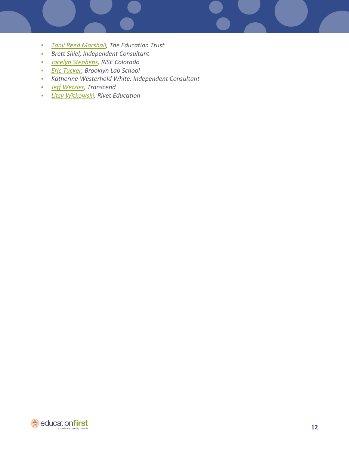- *[Tanji Reed Marshall,](https://edtrust.org/team/tanji-reed-marshall/) The Education Trust*
- *Brett Shiel, Independent Consultant*
- *[Jocelyn Stephens,](http://www.rise-colorado.org/jocelyn-stephens/) RISE Colorado*
- *[Eric Tucker,](https://edlab.tc.columbia.edu/blog/16880-Eric-Tucker) Brooklyn Lab School*
- *Katherine Westerhold White, Independent Consultant*
- *[Jeff Wetzler,](https://www.transcendeducation.org/about-team/jeff-wetzler) Transcend*
- *[Litsy Witkowski,](https://www.riveteducation.org/meet-our-team-1) Rivet Education*